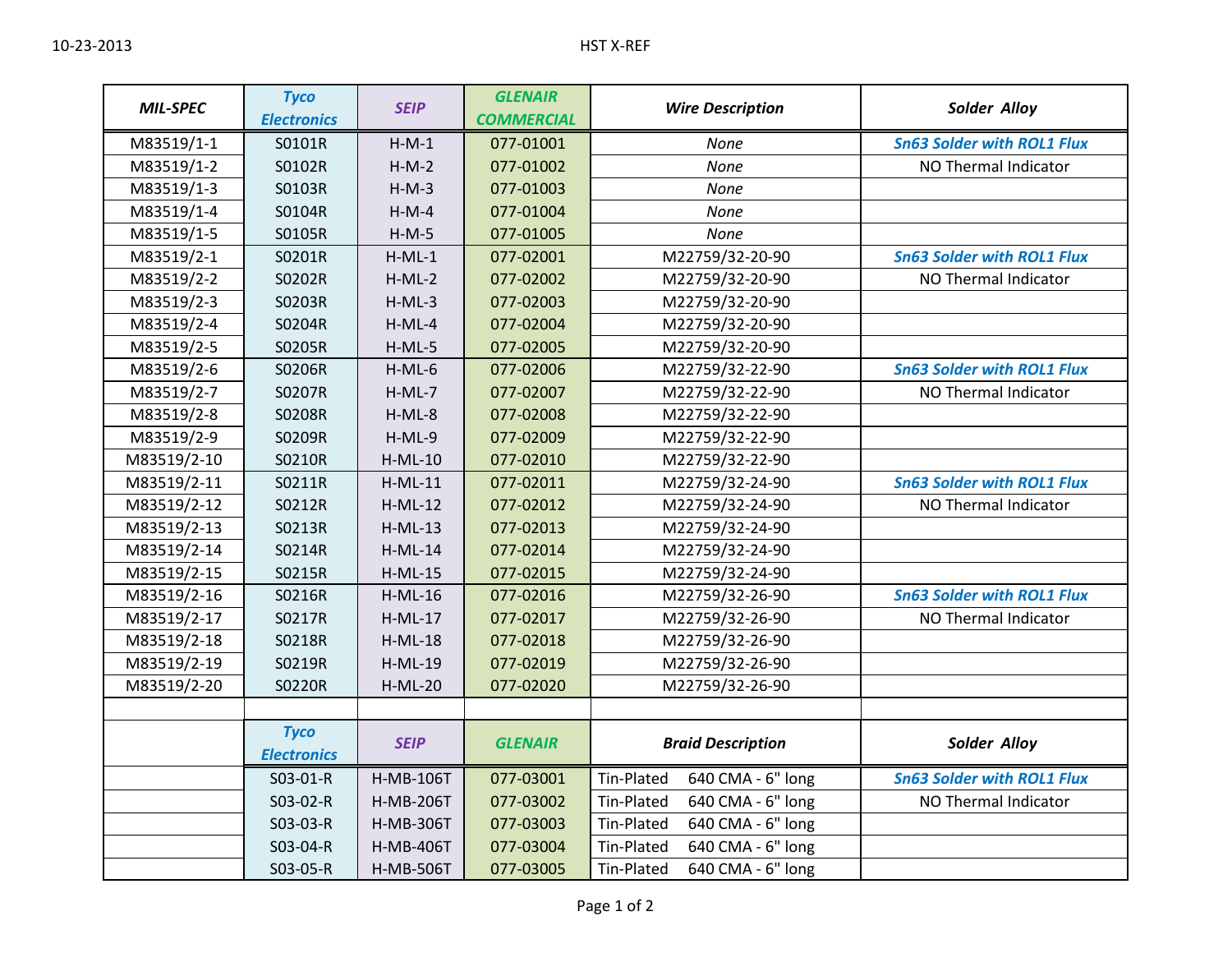| <b>MIL-SPEC</b> | <b>Tyco</b><br><b>Electronics</b> | <b>SEIP</b>      | <b>GLENAIR</b><br><b>COMMERCIAL</b> | <b>Wire Description</b>         | <b>Solder Alloy</b>               |
|-----------------|-----------------------------------|------------------|-------------------------------------|---------------------------------|-----------------------------------|
| M83519/1-1      | S0101R                            | $H-M-1$          | 077-01001                           | None                            | <b>Sn63 Solder with ROL1 Flux</b> |
| M83519/1-2      | S0102R                            | $H-M-2$          | 077-01002                           | None                            | NO Thermal Indicator              |
| M83519/1-3      | S0103R                            | $H-M-3$          | 077-01003                           | None                            |                                   |
| M83519/1-4      | S0104R                            | $H-M-4$          | 077-01004                           | None                            |                                   |
| M83519/1-5      | S0105R                            | $H-M-5$          | 077-01005                           | None                            |                                   |
| M83519/2-1      | S0201R                            | $H-ML-1$         | 077-02001                           | M22759/32-20-90                 | <b>Sn63 Solder with ROL1 Flux</b> |
| M83519/2-2      | S0202R                            | $H-ML-2$         | 077-02002                           | M22759/32-20-90                 | NO Thermal Indicator              |
| M83519/2-3      | S0203R                            | $H-ML-3$         | 077-02003                           | M22759/32-20-90                 |                                   |
| M83519/2-4      | S0204R                            | $H-ML-4$         | 077-02004                           | M22759/32-20-90                 |                                   |
| M83519/2-5      | S0205R                            | $H-ML-5$         | 077-02005                           | M22759/32-20-90                 |                                   |
| M83519/2-6      | S0206R                            | $H-ML-6$         | 077-02006                           | M22759/32-22-90                 | <b>Sn63 Solder with ROL1 Flux</b> |
| M83519/2-7      | S0207R                            | $H-ML-7$         | 077-02007                           | M22759/32-22-90                 | NO Thermal Indicator              |
| M83519/2-8      | S0208R                            | $H-ML-8$         | 077-02008                           | M22759/32-22-90                 |                                   |
| M83519/2-9      | S0209R                            | $H-ML-9$         | 077-02009                           | M22759/32-22-90                 |                                   |
| M83519/2-10     | S0210R                            | $H-ML-10$        | 077-02010                           | M22759/32-22-90                 |                                   |
| M83519/2-11     | S0211R                            | $H-ML-11$        | 077-02011                           | M22759/32-24-90                 | <b>Sn63 Solder with ROL1 Flux</b> |
| M83519/2-12     | S0212R                            | $H-ML-12$        | 077-02012                           | M22759/32-24-90                 | NO Thermal Indicator              |
| M83519/2-13     | S0213R                            | $H-ML-13$        | 077-02013                           | M22759/32-24-90                 |                                   |
| M83519/2-14     | S0214R                            | $H-ML-14$        | 077-02014                           | M22759/32-24-90                 |                                   |
| M83519/2-15     | S0215R                            | $H-ML-15$        | 077-02015                           | M22759/32-24-90                 |                                   |
| M83519/2-16     | S0216R                            | $H-ML-16$        | 077-02016                           | M22759/32-26-90                 | <b>Sn63 Solder with ROL1 Flux</b> |
| M83519/2-17     | S0217R                            | $H-ML-17$        | 077-02017                           | M22759/32-26-90                 | NO Thermal Indicator              |
| M83519/2-18     | S0218R                            | $H-ML-18$        | 077-02018                           | M22759/32-26-90                 |                                   |
| M83519/2-19     | S0219R                            | $H-ML-19$        | 077-02019                           | M22759/32-26-90                 |                                   |
| M83519/2-20     | <b>SO220R</b>                     | $H-ML-20$        | 077-02020                           | M22759/32-26-90                 |                                   |
|                 |                                   |                  |                                     |                                 |                                   |
|                 | <b>Tyco</b>                       | <b>SEIP</b>      | <b>GLENAIR</b>                      | <b>Braid Description</b>        | <b>Solder Alloy</b>               |
|                 | <b>Electronics</b>                |                  |                                     |                                 |                                   |
|                 | S03-01-R                          | H-MB-106T        | 077-03001                           | Tin-Plated<br>640 CMA - 6" long | <b>Sn63 Solder with ROL1 Flux</b> |
|                 | S03-02-R                          | <b>H-MB-206T</b> | 077-03002                           | Tin-Plated<br>640 CMA - 6" long | NO Thermal Indicator              |
|                 | S03-03-R                          | <b>H-MB-306T</b> | 077-03003                           | 640 CMA - 6" long<br>Tin-Plated |                                   |
|                 | S03-04-R                          | <b>H-MB-406T</b> | 077-03004                           | Tin-Plated<br>640 CMA - 6" long |                                   |
|                 | S03-05-R                          | <b>H-MB-506T</b> | 077-03005                           | Tin-Plated<br>640 CMA - 6" long |                                   |